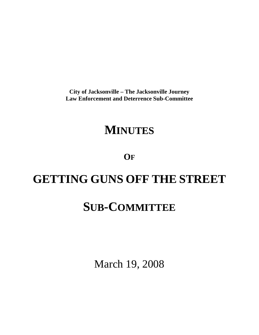**City of Jacksonville – The Jacksonville Journey Law Enforcement and Deterrence Sub-Committee** 

# **MINUTES**

**OF**

# **GETTING GUNS OFF THE STREET**

# **SUB-COMMITTEE**

March 19, 2008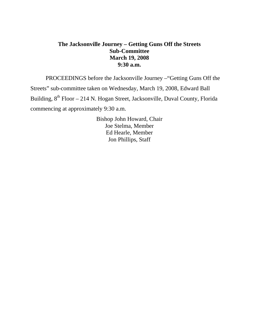## **The Jacksonville Journey – Getting Guns Off the Streets Sub-Committee March 19, 2008 9:30 a.m.**

 PROCEEDINGS before the Jacksonville Journey –"Getting Guns Off the Streets" sub-committee taken on Wednesday, March 19, 2008, Edward Ball Building,  $8^{th}$  Floor – 214 N. Hogan Street, Jacksonville, Duval County, Florida commencing at approximately 9:30 a.m.

> Bishop John Howard, Chair Joe Stelma, Member Ed Hearle, Member Jon Phillips, Staff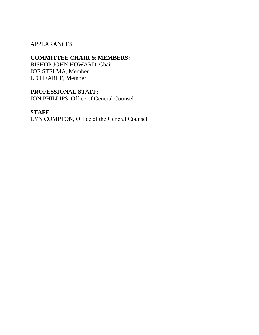### APPEARANCES

## **COMMITTEE CHAIR & MEMBERS:**

BISHOP JOHN HOWARD, Chair JOE STELMA, Member ED HEARLE, Member

## **PROFESSIONAL STAFF:**

JON PHILLIPS, Office of General Counsel

### **STAFF**:

LYN COMPTON, Office of the General Counsel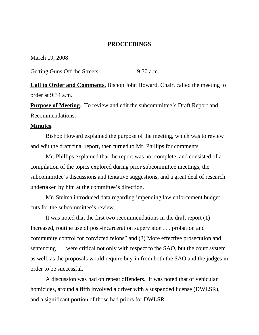### **PROCEEDINGS**

March 19, 2008

Getting Guns Off the Streets 9:30 a.m.

**Call to Order and Comments.** Bishop John Howard, Chair, called the meeting to order at 9:34 a.m.

**Purpose of Meeting.** To review and edit the subcommittee's Draft Report and Recommendations.

#### **Minutes**.

 Bishop Howard explained the purpose of the meeting, which was to review and edit the draft final report, then turned to Mr. Phillips for comments.

 Mr. Phillips explained that the report was not complete, and consisted of a compilation of the topics explored during prior subcommittee meetings, the subcommittee's discussions and tentative suggestions, and a great deal of research undertaken by him at the committee's direction.

 Mr. Stelma introduced data regarding impending law enforcement budget cuts for the subcommittee's review.

 It was noted that the first two recommendations in the draft report (1) Increased, routine use of post-incarceration supervision . . . probation and community control for convicted felons" and (2) More effective prosecution and sentencing . . . were critical not only with respect to the SAO, but the court system as well, as the proposals would require buy-in from both the SAO and the judges in order to be successful.

 A discussion was had on repeat offenders. It was noted that of vehicular homicides, around a fifth involved a driver with a suspended license (DWLSR), and a significant portion of those had priors for DWLSR.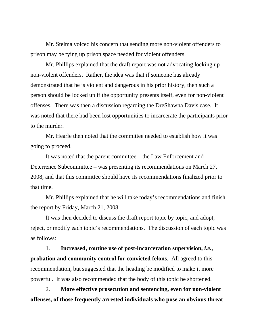Mr. Stelma voiced his concern that sending more non-violent offenders to prison may be tying up prison space needed for violent offenders.

 Mr. Phillips explained that the draft report was not advocating locking up non-violent offenders. Rather, the idea was that if someone has already demonstrated that he is violent and dangerous in his prior history, then such a person should be locked up if the opportunity presents itself, even for non-violent offenses. There was then a discussion regarding the DreShawna Davis case. It was noted that there had been lost opportunities to incarcerate the participants prior to the murder.

 Mr. Hearle then noted that the committee needed to establish how it was going to proceed.

 It was noted that the parent committee – the Law Enforcement and Deterrence Subcommittee – was presenting its recommendations on March 27, 2008, and that this committee should have its recommendations finalized prior to that time.

 Mr. Phillips explained that he will take today's recommendations and finish the report by Friday, March 21, 2008.

 It was then decided to discuss the draft report topic by topic, and adopt, reject, or modify each topic's recommendations. The discussion of each topic was as follows:

 1. **Increased, routine use of post-incarceration supervision,** *i.e.***, probation and community control for convicted felons**. All agreed to this recommendation, but suggested that the heading be modified to make it more powerful. It was also recommended that the body of this topic be shortened.

 2. **More effective prosecution and sentencing, even for non-violent offenses, of those frequently arrested individuals who pose an obvious threat**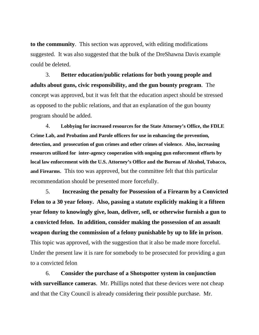**to the community**. This section was approved, with editing modifications suggested. It was also suggested that the bulk of the DreShawna Davis example could be deleted.

 3. **Better education/public relations for both young people and adults about guns, civic responsibility, and the gun bounty program**. The concept was approved, but it was felt that the education aspect should be stressed as opposed to the public relations, and that an explanation of the gun bounty program should be added.

 4. **Lobbying for increased resources for the State Attorney's Office, the FDLE Crime Lab, and Probation and Parole officers for use in enhancing the prevention, detection, and prosecution of gun crimes and other crimes of violence. Also, increasing resources utilized for inter-agency cooperation with ongoing gun enforcement efforts by local law enforcement with the U.S. Attorney's Office and the Bureau of Alcohol, Tobacco, and Firearms**. This too was approved, but the committee felt that this particular recommendation should be presented more forcefully.

 5. **Increasing the penalty for Possession of a Firearm by a Convicted Felon to a 30 year felony. Also, passing a statute explicitly making it a fifteen year felony to knowingly give, loan, deliver, sell, or otherwise furnish a gun to a convicted felon. In addition, consider making the possession of an assault weapon during the commission of a felony punishable by up to life in prison**. This topic was approved, with the suggestion that it also be made more forceful. Under the present law it is rare for somebody to be prosecuted for providing a gun to a convicted felon

 6. **Consider the purchase of a Shotspotter system in conjunction with surveillance cameras**. Mr. Phillips noted that these devices were not cheap and that the City Council is already considering their possible purchase. Mr.